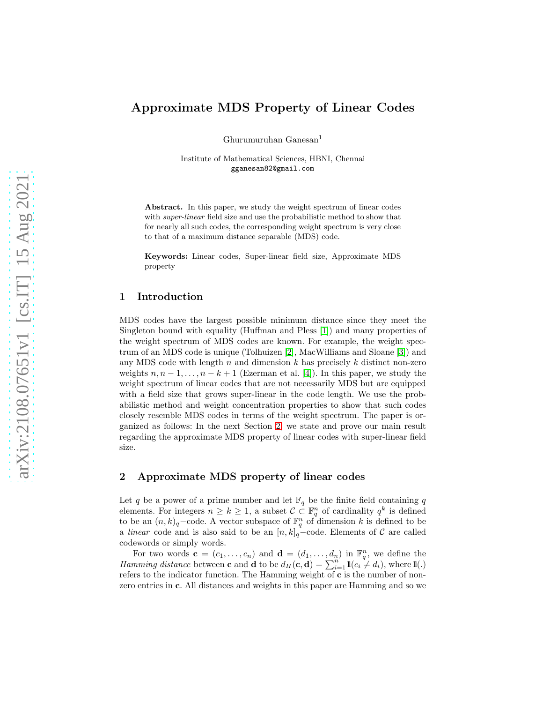# Approximate MDS Property of Linear Codes

Ghurumuruhan Ganesan<sup>1</sup>

Institute of Mathematical Sciences, HBNI, Chennai gganesan82@gmail.com

Abstract. In this paper, we study the weight spectrum of linear codes with *super-linear* field size and use the probabilistic method to show that for nearly all such codes, the corresponding weight spectrum is very close to that of a maximum distance separable (MDS) code.

Keywords: Linear codes, Super-linear field size, Approximate MDS property

# 1 Introduction

MDS codes have the largest possible minimum distance since they meet the Singleton bound with equality (Huffman and Pless [\[1\]](#page-5-0)) and many properties of the weight spectrum of MDS codes are known. For example, the weight spectrum of an MDS code is unique (Tolhuizen [\[2\]](#page-5-1), MacWilliams and Sloane [\[3\]](#page-5-2)) and any MDS code with length n and dimension k has precisely k distinct non-zero weights  $n, n-1, \ldots, n-k+1$  (Ezerman et al. [\[4\]](#page-5-3)). In this paper, we study the weight spectrum of linear codes that are not necessarily MDS but are equipped with a field size that grows super-linear in the code length. We use the probabilistic method and weight concentration properties to show that such codes closely resemble MDS codes in terms of the weight spectrum. The paper is organized as follows: In the next Section [2,](#page-0-0) we state and prove our main result regarding the approximate MDS property of linear codes with super-linear field size.

# <span id="page-0-0"></span>2 Approximate MDS property of linear codes

Let  $q$  be a power of a prime number and let  $\mathbb{F}_q$  be the finite field containing  $q$ elements. For integers  $n \geq k \geq 1$ , a subset  $\mathcal{C} \subset \mathbb{F}_q^n$  of cardinality  $q^k$  is defined to be an  $(n, k)_q$ –code. A vector subspace of  $\mathbb{F}_q^n$  of dimension k is defined to be a *linear* code and is also said to be an  $[n, k]_q$ –code. Elements of C are called codewords or simply words.

For two words  $\mathbf{c} = (c_1, \ldots, c_n)$  and  $\mathbf{d} = (d_1, \ldots, d_n)$  in  $\mathbb{F}_q^n$ , we define the *Hamming distance* between **c** and **d** to be  $d_H(c, d) = \sum_{i=1}^{n} 1 \pmb{\mathbb{1}}(c_i \neq d_i)$ , where  $1\pmb{\mathbb{1}}(.)$ refers to the indicator function. The Hamming weight of c is the number of nonzero entries in c. All distances and weights in this paper are Hamming and so we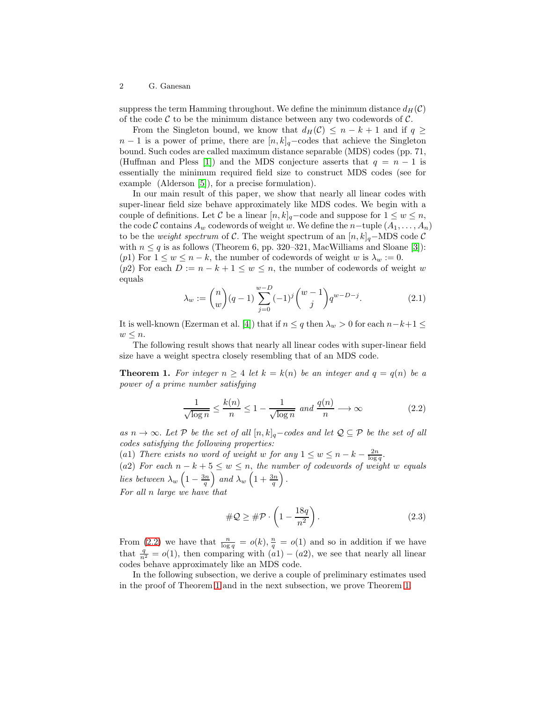## 2 G. Ganesan

suppress the term Hamming throughout. We define the minimum distance  $d_H(\mathcal{C})$ of the code  $\mathcal C$  to be the minimum distance between any two codewords of  $\mathcal C$ .

From the Singleton bound, we know that  $d_H(\mathcal{C}) \leq n - k + 1$  and if  $q \geq$  $n-1$  is a power of prime, there are  $[n, k]_q$ –codes that achieve the Singleton bound. Such codes are called maximum distance separable (MDS) codes (pp. 71, (Huffman and Pless [\[1\]](#page-5-0)) and the MDS conjecture asserts that  $q = n - 1$  is essentially the minimum required field size to construct MDS codes (see for example (Alderson [\[5\]](#page-5-4)), for a precise formulation).

In our main result of this paper, we show that nearly all linear codes with super-linear field size behave approximately like MDS codes. We begin with a couple of definitions. Let C be a linear  $[n, k]_q$ –code and suppose for  $1 \leq w \leq n$ , the code C contains  $A_w$  codewords of weight w. We define the n-tuple  $(A_1, \ldots, A_n)$ to be the *weight spectrum* of C. The weight spectrum of an  $[n, k]_q$ –MDS code C with  $n \leq q$  is as follows (Theorem 6, pp. 320–321, MacWilliams and Sloane [\[3\]](#page-5-2)): (p1) For  $1 \leq w \leq n-k$ , the number of codewords of weight w is  $\lambda_w := 0$ .

(p2) For each  $D := n - k + 1 \leq w \leq n$ , the number of codewords of weight w equals

<span id="page-1-2"></span>
$$
\lambda_w := \binom{n}{w} (q-1) \sum_{j=0}^{w-D} (-1)^j \binom{w-1}{j} q^{w-D-j}.
$$
 (2.1)

It is well-known (Ezerman et al. [\[4\]](#page-5-3)) that if  $n \leq q$  then  $\lambda_w > 0$  for each  $n-k+1 \leq$  $w \leq n$ .

The following result shows that nearly all linear codes with super-linear field size have a weight spectra closely resembling that of an MDS code.

**Theorem 1.** For integer  $n \geq 4$  let  $k = k(n)$  be an integer and  $q = q(n)$  be a *power of a prime number satisfying*

<span id="page-1-1"></span><span id="page-1-0"></span>
$$
\frac{1}{\sqrt{\log n}} \le \frac{k(n)}{n} \le 1 - \frac{1}{\sqrt{\log n}} \text{ and } \frac{q(n)}{n} \longrightarrow \infty \tag{2.2}
$$

*as*  $n \to \infty$ *. Let*  $\mathcal{P}$  *be the set of all*  $[n, k]_q$ −*codes and let*  $\mathcal{Q} \subseteq \mathcal{P}$  *be the set of all codes satisfying the following properties:*

(a1) *There exists no word of weight* w *for any*  $1 \leq w \leq n - k - \frac{2n}{\log q}$ . (a2) For each  $n - k + 5 \leq w \leq n$ , the number of codewords of weight w equals *lies between*  $\lambda_w \left(1 - \frac{3n}{q}\right)$  and  $\lambda_w \left(1 + \frac{3n}{q}\right)$ . *For all* n *large we have that*

<span id="page-1-3"></span>
$$
\#Q \ge \#P \cdot \left(1 - \frac{18q}{n^2}\right). \tag{2.3}
$$

From [\(2.2\)](#page-1-0) we have that  $\frac{n}{\log q} = o(k), \frac{n}{q} = o(1)$  and so in addition if we have that  $\frac{q}{n^2} = o(1)$ , then comparing with  $(a1) - (a2)$ , we see that nearly all linear codes behave approximately like an MDS code.

In the following subsection, we derive a couple of preliminary estimates used in the proof of Theorem [1](#page-1-1) and in the next subsection, we prove Theorem [1.](#page-1-1)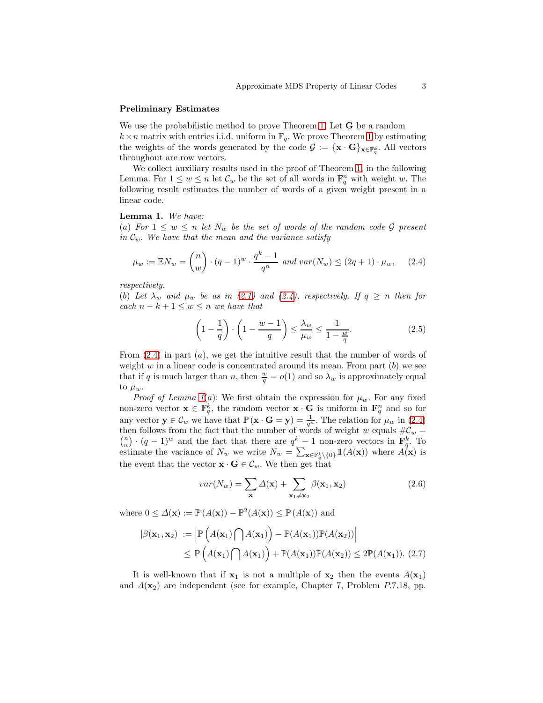#### Preliminary Estimates

We use the probabilistic method to prove Theorem [1.](#page-1-1) Let **G** be a random  $k \times n$  matrix with entries i.i.d. uniform in  $\mathbb{F}_q$ . We prove Theorem [1](#page-1-1) by estimating the weights of the words generated by the code  $\mathcal{G} := {\{\mathbf{x} \cdot \mathbf{G}\}}_{\mathbf{x} \in \mathbb{F}_q^k}$ . All vectors throughout are row vectors.

We collect auxiliary results used in the proof of Theorem [1,](#page-1-1) in the following Lemma. For  $1 \leq w \leq n$  let  $\mathcal{C}_w$  be the set of all words in  $\mathbb{F}_q^n$  with weight w. The following result estimates the number of words of a given weight present in a linear code.

<span id="page-2-1"></span>Lemma 1. *We have:*

(a) For  $1 \leq w \leq n$  let  $N_w$  be the set of words of the random code G present *in*  $\mathcal{C}_w$ *. We have that the mean and the variance satisfy* 

<span id="page-2-0"></span>
$$
\mu_w := \mathbb{E} N_w = \binom{n}{w} \cdot (q-1)^w \cdot \frac{q^k - 1}{q^n} \text{ and } var(N_w) \le (2q+1) \cdot \mu_w, \quad (2.4)
$$

*respectively.*

(b) Let  $\lambda_w$  and  $\mu_w$  be as in [\(2.1\)](#page-1-2) and [\(2.4\)](#page-2-0), respectively. If  $q \geq n$  then for *each*  $n - k + 1 \leq w \leq n$  *we have that* 

<span id="page-2-2"></span>
$$
\left(1 - \frac{1}{q}\right) \cdot \left(1 - \frac{w - 1}{q}\right) \le \frac{\lambda_w}{\mu_w} \le \frac{1}{1 - \frac{w}{q}}.\tag{2.5}
$$

From  $(2.4)$  in part  $(a)$ , we get the intuitive result that the number of words of weight  $w$  in a linear code is concentrated around its mean. From part  $(b)$  we see that if q is much larger than n, then  $\frac{w}{q} = o(1)$  and so  $\lambda_w$  is approximately equal to  $\mu_w$ .

*Proof of Lemma*  $1(a)$ : We first obtain the expression for  $\mu_w$ . For any fixed non-zero vector  $\mathbf{x} \in \mathbb{F}_q^k$ , the random vector  $\mathbf{x} \cdot \mathbf{G}$  is uniform in  $\mathbf{F}_q^n$  and so for any vector  $\mathbf{y} \in \mathcal{C}_w$  we have that  $\mathbb{P}(\mathbf{x} \cdot \mathbf{G} = \mathbf{y}) = \frac{1}{q^n}$ . The relation for  $\mu_w$  in [\(2.4\)](#page-2-0) then follows from the fact that the number of words of weight w equals  $\#C_w = \binom{n}{w} \cdot (q-1)^w$  and the fact that there are  $q^k - 1$  non-zero vectors in  $\mathbf{F}_q^k$ . To estimate the variance of  $N_w$  we write  $N_w = \sum_{\mathbf{x} \in \mathbb{F}_q^k \setminus \{0\}} 1\mathbb{1}(A(\mathbf{x}))$  where  $A(\mathbf{x})$  is the event that the vector  $\mathbf{x} \cdot \mathbf{G} \in \mathcal{C}_w$ . We then get that

$$
var(N_w) = \sum_{\mathbf{x}} \Delta(\mathbf{x}) + \sum_{\mathbf{x}_1 \neq \mathbf{x}_2} \beta(\mathbf{x}_1, \mathbf{x}_2)
$$
 (2.6)

where  $0 \leq \Delta(\mathbf{x}) := \mathbb{P}(A(\mathbf{x})) - \mathbb{P}^2(A(\mathbf{x})) \leq \mathbb{P}(A(\mathbf{x}))$  and

$$
|\beta(\mathbf{x}_1, \mathbf{x}_2)| := \left| \mathbb{P}\left(A(\mathbf{x}_1) \bigcap A(\mathbf{x}_1)\right) - \mathbb{P}(A(\mathbf{x}_1)) \mathbb{P}(A(\mathbf{x}_2)) \right|
$$
  
\n
$$
\leq \mathbb{P}\left(A(\mathbf{x}_1) \bigcap A(\mathbf{x}_1)\right) + \mathbb{P}(A(\mathbf{x}_1)) \mathbb{P}(A(\mathbf{x}_2)) \leq 2 \mathbb{P}(A(\mathbf{x}_1)).
$$
 (2.7)

It is well-known that if  $x_1$  is not a multiple of  $x_2$  then the events  $A(x_1)$ and  $A(\mathbf{x}_2)$  are independent (see for example, Chapter 7, Problem P.7.18, pp.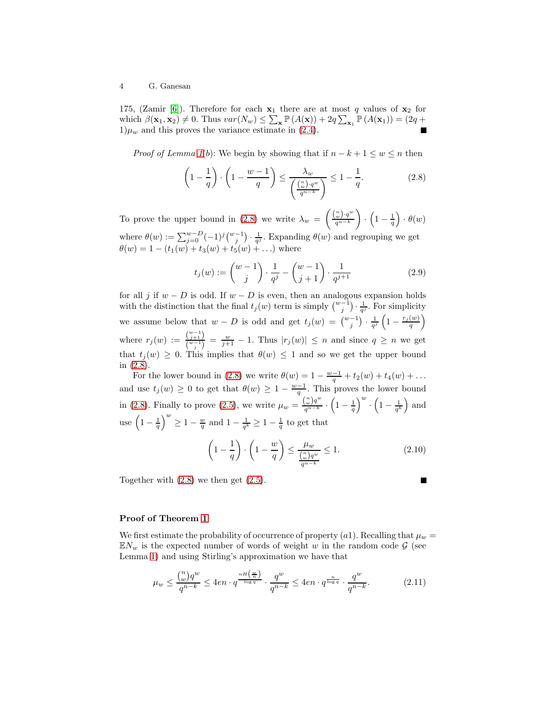175, (Zamir [\[6\]](#page-5-5)). Therefore for each  $x_1$  there are at most q values of  $x_2$  for which  $\beta(\mathbf{x}_1, \mathbf{x}_2) \neq 0$ . Thus  $var(N_w) \leq \sum_{\mathbf{x}} \mathbb{P}(A(\mathbf{x})) + 2q \sum_{\mathbf{x}_1} \mathbb{P}(A(\mathbf{x}_1)) = (2q +$  $1)\mu_w$  and this proves the variance estimate in [\(2.4\)](#page-2-0).

*Proof of Lemma*  $I(b)$ : We begin by showing that if  $n - k + 1 \leq w \leq n$  $n - k + 1 \leq w \leq n$  $n - k + 1 \leq w \leq n$  then

<span id="page-3-0"></span>
$$
\left(1 - \frac{1}{q}\right) \cdot \left(1 - \frac{w - 1}{q}\right) \le \frac{\lambda_w}{\left(\frac{\binom{n}{w} \cdot q^w}{q^{n-k}}\right)} \le 1 - \frac{1}{q}.\tag{2.8}
$$

To prove the upper bound in [\(2.8\)](#page-3-0) we write  $\lambda_w = \left(\frac{\binom{n}{w} \cdot q^w}{q^{n-k}}\right)$  $q^{n-k}$  $\setminus$  $\cdot \left(1-\frac{1}{q}\right) \cdot \theta(w)$ where  $\theta(w) := \sum_{j=0}^{w-D} (-1)^j {w-1 \choose j} \cdot \frac{1}{q^j}$ . Expanding  $\theta(w)$  and regrouping we get  $\theta(w) = 1 - (t_1(w) + t_3(w) + t_5(w) + ...)$  where

$$
t_j(w) := \binom{w-1}{j} \cdot \frac{1}{q^j} - \binom{w-1}{j+1} \cdot \frac{1}{q^{j+1}} \tag{2.9}
$$

for all j if  $w - D$  is odd. If  $w - D$  is even, then an analogous expansion holds with the distinction that the final  $t_j(w)$  term is simply  $\binom{w-1}{j} \cdot \frac{1}{q^j}$ . For simplicity we assume below that  $w - D$  is odd and get  $t_j(w) = \binom{w-1}{j} \cdot \frac{1}{q^j} \left(1 - \frac{r_j(w)}{q}\right)$  $\frac{(w)}{q}$ where  $r_j(w) := \frac{\binom{w-1}{j+1}}{\binom{w-1}{w-1}}$  $\frac{\binom{j+1}{w-1}}{\binom{w-1}{j}} = \frac{w}{j+1} - 1$ . Thus  $|r_j(w)| \leq n$  and since  $q \geq n$  we get that  $t_j(w) \geq 0$ . This implies that  $\theta(w) \leq 1$  and so we get the upper bound in [\(2.8\)](#page-3-0).

For the lower bound in [\(2.8\)](#page-3-0) we write  $\theta(w) = 1 - \frac{w-1}{q} + t_2(w) + t_4(w) + \dots$ and use  $t_j(w) \geq 0$  to get that  $\theta(w) \geq 1 - \frac{w-1}{q}$ . This proves the lower bound in [\(2.8\)](#page-3-0). Finally to prove [\(2.5\)](#page-2-2), we write  $\mu_w = \frac{\binom{n}{w}q^w}{q^{n-k}}$  $\frac{\binom{n}{w}q^w}{q^{n-k}} \cdot \left(1 - \frac{1}{q}\right)^w \cdot \left(1 - \frac{1}{q^k}\right)$  and use  $\left(1-\frac{1}{q}\right)^w \ge 1-\frac{w}{q}$  and  $1-\frac{1}{q^k} \ge 1-\frac{1}{q}$  to get that

<span id="page-3-1"></span>
$$
\left(1 - \frac{1}{q}\right) \cdot \left(1 - \frac{w}{q}\right) \le \frac{\mu_w}{\frac{\binom{n}{w}q^w}{q^{n-k}}} \le 1. \tag{2.10}
$$

Together with [\(2.8\)](#page-3-0) we then get [\(2.5\)](#page-2-2).

## Proof of Theorem [1](#page-1-1)

We first estimate the probability of occurrence of property (a1). Recalling that  $\mu_w =$  $\mathbb{E}N_w$  is the expected number of words of weight w in the random code  $\mathcal{G}$  (see Lemma [1\)](#page-2-1) and using Stirling's approximation we have that

$$
\mu_w \le \frac{\binom{n}{w}q^w}{q^{n-k}} \le 4en \cdot q^{\frac{nH\left(\frac{w}{n}\right)}{\log q}} \cdot \frac{q^w}{q^{n-k}} \le 4en \cdot q^{\frac{n}{\log q}} \cdot \frac{q^w}{q^{n-k}}.\tag{2.11}
$$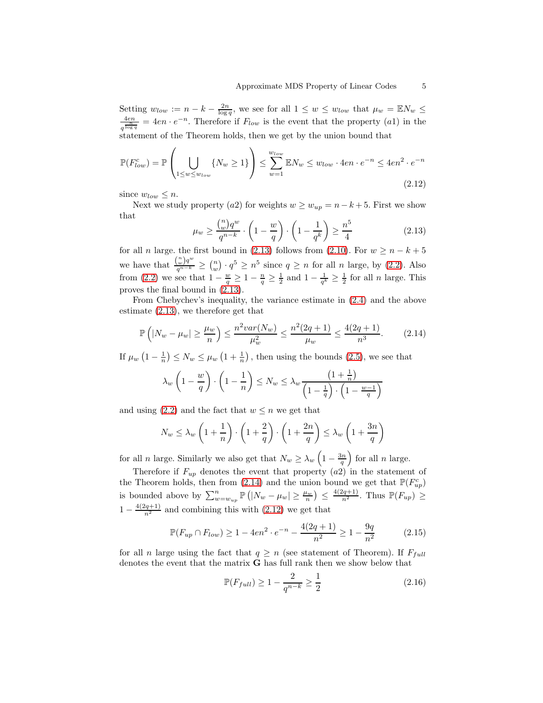Setting  $w_{low} := n - k - \frac{2n}{\log q}$ , we see for all  $1 \leq w \leq w_{low}$  that  $\mu_w = \mathbb{E} N_w \leq$ 4en  $\frac{4en}{q^{\frac{h}{\log q}}} = 4en \cdot e^{-n}$ . Therefore if  $F_{low}$  is the event that the property (a1) in the statement of the Theorem holds, then we get by the union bound that

<span id="page-4-2"></span>
$$
\mathbb{P}(F_{low}^c) = \mathbb{P}\left(\bigcup_{1 \le w \le w_{low}} \{N_w \ge 1\}\right) \le \sum_{w=1}^{w_{low}} \mathbb{E}N_w \le w_{low} \cdot 4en \cdot e^{-n} \le 4en^2 \cdot e^{-n}
$$
\n(2.12)

since  $w_{low} \leq n$ .

Next we study property (a2) for weights  $w \geq w_{up} = n - k + 5$ . First we show that

<span id="page-4-0"></span>
$$
\mu_w \ge \frac{\binom{n}{w}q^w}{q^{n-k}} \cdot \left(1 - \frac{w}{q}\right) \cdot \left(1 - \frac{1}{q^k}\right) \ge \frac{n^5}{4}
$$
\n
$$
\text{(2.13)}
$$

for all n large, the first bound in [\(2.13\)](#page-4-0) follows from [\(2.10\)](#page-3-1). For  $w > n - k + 5$ we have that  $\frac{\binom{n}{w}q^w}{q^{n-k}}$  $\frac{w}{q^{n-k}} \geq {n \choose w} \cdot q^5 \geq n^5$  since  $q \geq n$  for all *n* large, by [\(2.2\)](#page-1-0). Also from [\(2.2\)](#page-1-0) we see that  $1 - \frac{w}{q} \ge 1 - \frac{n}{q} \ge \frac{1}{2}$  and  $1 - \frac{1}{q^k} \ge \frac{1}{2}$  for all *n* large. This proves the final bound in [\(2.13\)](#page-4-0).

From Chebychev's inequality, the variance estimate in [\(2.4\)](#page-2-0) and the above estimate [\(2.13\)](#page-4-0), we therefore get that

<span id="page-4-1"></span>
$$
\mathbb{P}\left(|N_w - \mu_w| \ge \frac{\mu_w}{n}\right) \le \frac{n^2 var(N_w)}{\mu_w^2} \le \frac{n^2 (2q+1)}{\mu_w} \le \frac{4(2q+1)}{n^3}.\tag{2.14}
$$

If  $\mu_w\left(1-\frac{1}{n}\right) \leq N_w \leq \mu_w\left(1+\frac{1}{n}\right)$ , then using the bounds [\(2.5\)](#page-2-2), we see that

$$
\lambda_w \left( 1 - \frac{w}{q} \right) \cdot \left( 1 - \frac{1}{n} \right) \le N_w \le \lambda_w \frac{\left( 1 + \frac{1}{n} \right)}{\left( 1 - \frac{1}{q} \right) \cdot \left( 1 - \frac{w - 1}{q} \right)}
$$

and using [\(2.2\)](#page-1-0) and the fact that  $w \leq n$  we get that

$$
N_w \le \lambda_w \left( 1 + \frac{1}{n} \right) \cdot \left( 1 + \frac{2}{q} \right) \cdot \left( 1 + \frac{2n}{q} \right) \le \lambda_w \left( 1 + \frac{3n}{q} \right)
$$

for all *n* large. Similarly we also get that  $N_w \geq \lambda_w \left(1 - \frac{3n}{q}\right)$  for all *n* large.

Therefore if  $F_{up}$  denotes the event that property  $(a2)$  in the statement of the Theorem holds, then from [\(2.14\)](#page-4-1) and the union bound we get that  $\mathbb{P}(F_{up}^c)$ is bounded above by  $\sum_{w=w_{up}}^{n} \mathbb{P}(|N_{w}-\mu_{w}| \geq \frac{\mu_{w}}{n}) \leq \frac{4(2q+1)}{n^2}$ . Thus  $\mathbb{P}(F_{up}) \geq$  $1 - \frac{4(2q+1)}{n^2}$  and combining this with [\(2.12\)](#page-4-2) we get that

<span id="page-4-3"></span>
$$
\mathbb{P}(F_{up} \cap F_{low}) \ge 1 - 4en^2 \cdot e^{-n} - \frac{4(2q+1)}{n^2} \ge 1 - \frac{9q}{n^2}
$$
 (2.15)

for all n large using the fact that  $q \geq n$  (see statement of Theorem). If  $F_{full}$ denotes the event that the matrix G has full rank then we show below that

<span id="page-4-4"></span>
$$
\mathbb{P}(F_{full}) \ge 1 - \frac{2}{q^{n-k}} \ge \frac{1}{2}
$$
 (2.16)